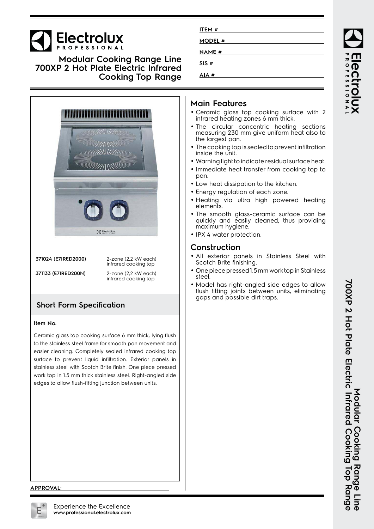# **Electrolux**

**Modular Cooking Range Line 700XP 2 Hot Plate Electric Infrared Cooking Top Range**



**371024 (E7IRED2000)** 2-zone (2,2 kW each) infrared cooking top

**371133 (E7IRED200N)** 2-zone (2,2 kW each)

infrared cooking top

## **Short Form Specification**

#### **Item No.**

Ceramic glass top cooking surface 6 mm thick, lying flush to the stainless steel frame for smooth pan movement and easier cleaning. Completely sealed infrared cooking top surface to prevent liquid infiltration. Exterior panels in stainless steel with Scotch Brite finish. One piece pressed work top in 1.5 mm thick stainless steel. Right-angled side edges to allow flush-fitting junction between units.

| ITEM #        |  |  |
|---------------|--|--|
| MODEL #       |  |  |
| <b>NAME</b> # |  |  |
| SIS #         |  |  |
| AIA#          |  |  |

## **Main Features**

- Ceramic glass top cooking surface with 2 infrared heating zones 6 mm thick.
- The circular concentric heating sections measuring 230 mm give uniform heat also to the largest pan.
- The cooking top is sealed to prevent infiltration inside the unit.
- Warning light to indicate residual surface heat.
- Immediate heat transfer from cooking top to pan.
- Low heat dissipation to the kitchen.
- Energy regulation of each zone.
- Heating via ultra high powered heating elements.
- The smooth glass-ceramic surface can be quickly and easily cleaned, thus providing maximum hygiene.
- IPX 4 water protection.

## **Construction**

- All exterior panels in Stainless Steel with Scotch Brite finishing.
- One piece pressed 1.5 mm work top in Stainless steel.
- • Model has right-angled side edges to allow flush fitting joints between units, eliminating gaps and possible dirt traps.

ROFESSIONA

#### **APPROVAL:**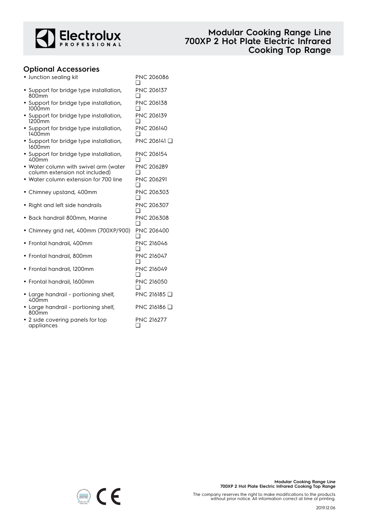

### **Optional Accessories**

| • Junction sealing kit                                                  | <b>PNC 206086</b>        |
|-------------------------------------------------------------------------|--------------------------|
| • Support for bridge type installation,<br>800mm                        | PNC 206137               |
| • Support for bridge type installation,<br>1000mm                       | PNC 206138<br>∩          |
| • Support for bridge type installation,<br>1200mm                       | PNC 206139               |
| • Support for bridge type installation,<br>1400mm                       | PNC 206140               |
| • Support for bridge type installation,<br>1600mm                       | PNC 206141 Q             |
| • Support for bridge type installation,<br>400mm                        | <b>PNC 206154</b>        |
| · Water column with swivel arm (water<br>column extension not included) | PNC 206289               |
| • Water column extension for 700 line                                   | <b>PNC 206291</b>        |
| • Chimney upstand, 400mm                                                | PNC 206303               |
| Right and left side handrails                                           | PNC 206307<br>□          |
| · Back handrail 800mm, Marine                                           | PNC 206308<br>∩          |
| • Chimney grid net, 400mm (700XP/900)                                   | <b>PNC 206400</b><br>□   |
| • Frontal handrail, 400mm                                               | <b>PNC 216046</b>        |
| • Frontal handrail, 800mm                                               | <b>PNC 216047</b><br>. . |
| · Frontal handrail, 1200mm                                              | <b>PNC 216049</b>        |
| • Frontal handrail, 1600mm                                              | <b>PNC 216050</b>        |
| · Large handrail - portioning shelf,<br>400 <sub>mm</sub>               | PNC 216185 □             |
| • Large handrail - portioning shelf,<br>800 <sub>mm</sub>               | PNC 216186 Q             |
| 2 side covering panels for top<br>appliances                            | PNC 216277<br>□          |